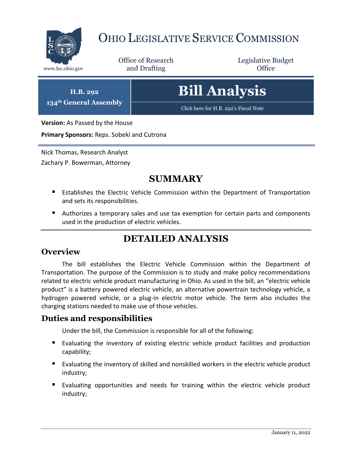

# OHIO LEGISLATIVE SERVICE COMMISSION

Office of Research www.lsc.ohio.gov **and Drafting Office** 

Legislative Budget

**H.B. 292 134th General Assembly**

# **Bill Analysis**

[Click here for H.B. 292](https://www.legislature.ohio.gov/legislation/legislation-documents?id=GA134-HB-292)'s Fiscal Note

**Version:** As Passed by the House

**Primary Sponsors:** Reps. Sobeki and Cutrona

Nick Thomas, Research Analyst

Zachary P. Bowerman, Attorney

# **SUMMARY**

- Establishes the Electric Vehicle Commission within the Department of Transportation and sets its responsibilities.
- Authorizes a temporary sales and use tax exemption for certain parts and components used in the production of electric vehicles.

# **DETAILED ANALYSIS**

## **Overview**

The bill establishes the Electric Vehicle Commission within the Department of Transportation. The purpose of the Commission is to study and make policy recommendations related to electric vehicle product manufacturing in Ohio. As used in the bill, an "electric vehicle product" is a battery powered electric vehicle, an alternative powertrain technology vehicle, a hydrogen powered vehicle, or a plug-in electric motor vehicle. The term also includes the charging stations needed to make use of those vehicles.

# **Duties and responsibilities**

Under the bill, the Commission is responsible for all of the following:

- Evaluating the inventory of existing electric vehicle product facilities and production capability;
- Evaluating the inventory of skilled and nonskilled workers in the electric vehicle product industry;
- Evaluating opportunities and needs for training within the electric vehicle product industry;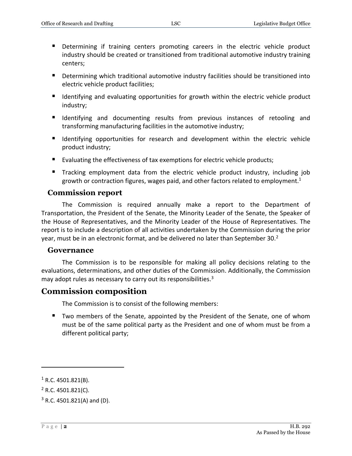- Determining if training centers promoting careers in the electric vehicle product industry should be created or transitioned from traditional automotive industry training centers;
- **Determining which traditional automotive industry facilities should be transitioned into** electric vehicle product facilities;
- Identifying and evaluating opportunities for growth within the electric vehicle product industry;
- Identifying and documenting results from previous instances of retooling and transforming manufacturing facilities in the automotive industry;
- **If** Identifying opportunities for research and development within the electric vehicle product industry;
- Evaluating the effectiveness of tax exemptions for electric vehicle products;
- Tracking employment data from the electric vehicle product industry, including job growth or contraction figures, wages paid, and other factors related to employment. $1$

#### **Commission report**

The Commission is required annually make a report to the Department of Transportation, the President of the Senate, the Minority Leader of the Senate, the Speaker of the House of Representatives, and the Minority Leader of the House of Representatives. The report is to include a description of all activities undertaken by the Commission during the prior year, must be in an electronic format, and be delivered no later than September 30. $^2$ 

#### **Governance**

The Commission is to be responsible for making all policy decisions relating to the evaluations, determinations, and other duties of the Commission. Additionally, the Commission may adopt rules as necessary to carry out its responsibilities.<sup>3</sup>

## **Commission composition**

The Commission is to consist of the following members:

■ Two members of the Senate, appointed by the President of the Senate, one of whom must be of the same political party as the President and one of whom must be from a different political party;

 $\overline{a}$ 

 $1$  R.C. 4501.821(B).

 $2$  R.C. 4501.821(C).

 $3$  R.C. 4501.821(A) and (D).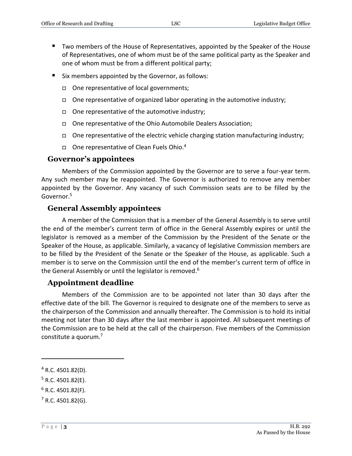- Two members of the House of Representatives, appointed by the Speaker of the House of Representatives, one of whom must be of the same political party as the Speaker and one of whom must be from a different political party;
- **Six members appointed by the Governor, as follows:** 
	- One representative of local governments;
	- $\Box$  One representative of organized labor operating in the automotive industry;
	- $\Box$  One representative of the automotive industry;
	- One representative of the Ohio Automobile Dealers Association;
	- $\Box$  One representative of the electric vehicle charging station manufacturing industry;
	- $\Box$  One representative of Clean Fuels Ohio.<sup>4</sup>

#### **Governor's appointees**

Members of the Commission appointed by the Governor are to serve a four-year term. Any such member may be reappointed. The Governor is authorized to remove any member appointed by the Governor. Any vacancy of such Commission seats are to be filled by the Governor.<sup>5</sup>

### **General Assembly appointees**

A member of the Commission that is a member of the General Assembly is to serve until the end of the member's current term of office in the General Assembly expires or until the legislator is removed as a member of the Commission by the President of the Senate or the Speaker of the House, as applicable. Similarly, a vacancy of legislative Commission members are to be filled by the President of the Senate or the Speaker of the House, as applicable. Such a member is to serve on the Commission until the end of the member's current term of office in the General Assembly or until the legislator is removed.<sup>6</sup>

#### **Appointment deadline**

Members of the Commission are to be appointed not later than 30 days after the effective date of the bill. The Governor is required to designate one of the members to serve as the chairperson of the Commission and annually thereafter. The Commission is to hold its initial meeting not later than 30 days after the last member is appointed. All subsequent meetings of the Commission are to be held at the call of the chairperson. Five members of the Commission constitute a quorum.<sup>7</sup>

 $\overline{a}$ 

- $5$  R.C. 4501.82(E).
- $6$  R.C. 4501.82(F).
- $7$  R.C. 4501.82(G).

 $4$  R.C. 4501.82(D).